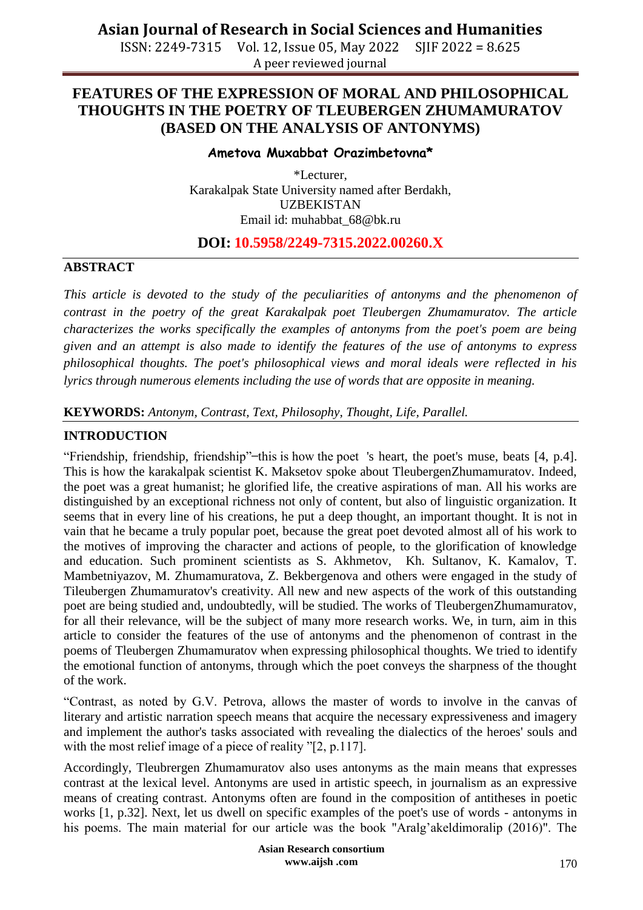ISSN: 2249-7315 Vol. 12, Issue 05, May 2022 SJIF 2022 = 8.625 A peer reviewed journal

### **FEATURES OF THE EXPRESSION OF MORAL AND PHILOSOPHICAL THOUGHTS IN THE POETRY OF TLEUBERGEN ZHUMAMURATOV (BASED ON THE ANALYSIS OF ANTONYMS)**

#### **Ametova Muxabbat Orazimbetovna\***

\*Lecturer, Karakalpak State University named after Berdakh, UZBEKISTAN Email id: [muhabbat\\_68@bk.ru](mailto:muhabbat_68@bk.ru)

### **DOI: 10.5958/2249-7315.2022.00260.X**

### **ABSTRACT**

*This article is devoted to the study of the peculiarities of antonyms and the phenomenon of contrast in the poetry of the great Karakalpak poet Tleubergen Zhumamuratov. The article characterizes the works specifically the examples of antonyms from the poet's poem are being given and an attempt is also made to identify the features of the use of antonyms to express philosophical thoughts. The poet's philosophical views and moral ideals were reflected in his lyrics through numerous elements including the use of words that are opposite in meaning.* 

**KEYWORDS:** *Antonym, Contrast, Text, Philosophy, Thought, Life, Parallel.*

### **INTRODUCTION**

"Friendship, friendship, friendship" – this is how the poet 's heart, the poet's muse, beats [4, p.4]. This is how the karakalpak scientist K. Maksetov spoke about TleubergenZhumamuratov. Indeed, the poet was a great humanist; he glorified life, the creative aspirations of man. All his works are distinguished by an exceptional richness not only of content, but also of linguistic organization. It seems that in every line of his creations, he put a deep thought, an important thought. It is not in vain that he became a truly popular poet, because the great poet devoted almost all of his work to the motives of improving the character and actions of people, to the glorification of knowledge and education. Such prominent scientists as S. Akhmetov, Kh. Sultanov, K. Kamalov, T. Mambetniyazov, M. Zhumamuratova, Z. Bekbergenova and others were engaged in the study of Tileubergen Zhumamuratov's creativity. All new and new aspects of the work of this outstanding poet are being studied and, undoubtedly, will be studied. The works of TleubergenZhumamuratov, for all their relevance, will be the subject of many more research works. We, in turn, aim in this article to consider the features of the use of antonyms and the phenomenon of contrast in the poems of Tleubergen Zhumamuratov when expressing philosophical thoughts. We tried to identify the emotional function of antonyms, through which the poet conveys the sharpness of the thought of the work.

"Contrast, as noted by G.V. Petrova, allows the master of words to involve in the canvas of literary and artistic narration speech means that acquire the necessary expressiveness and imagery and implement the author's tasks associated with revealing the dialectics of the heroes' souls and with the most relief image of a piece of reality "[2, p.117].

Accordingly, Tleubrergen Zhumamuratov also uses antonyms as the main means that expresses contrast at the lexical level. Antonyms are used in artistic speech, in journalism as an expressive means of creating contrast. Antonyms often are found in the composition of antitheses in poetic works [1, p.32]. Next, let us dwell on specific examples of the poet's use of words - antonyms in his poems. The main material for our article was the book "Aralg'akeldimoralip (2016)". The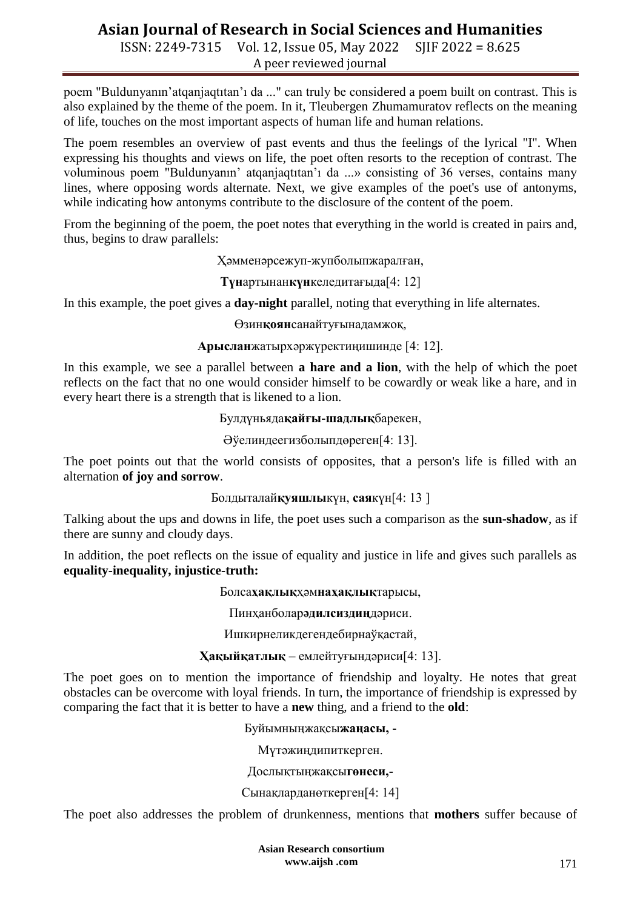ISSN: 2249-7315 Vol. 12, Issue 05, May 2022 SJIF 2022 = 8.625 A peer reviewed journal

poem "Buldunyanın'atqanjaqtıtan'ı da ..." can truly be considered a poem built on contrast. This is also explained by the theme of the poem. In it, Tleubergen Zhumamuratov reflects on the meaning of life, touches on the most important aspects of human life and human relations.

The poem resembles an overview of past events and thus the feelings of the lyrical "I". When expressing his thoughts and views on life, the poet often resorts to the reception of contrast. The voluminous poem "Buldunyanın' atqanjaqtıtan'ı da ...» consisting of 36 verses, contains many lines, where opposing words alternate. Next, we give examples of the poet's use of antonyms, while indicating how antonyms contribute to the disclosure of the content of the poem.

From the beginning of the poem, the poet notes that everything in the world is created in pairs and, thus, begins to draw parallels:

Ҳəмменəрсежуп-жупболыпжаралған,

**Түн**артынан**күн**келедитағыда[4: 12]

In this example, the poet gives a **day-night** parallel, noting that everything in life alternates.

Ɵзин**қоян**санайтуғынадамжоқ,

**Арыслан**жатырхəржүректиңишинде [4: 12].

In this example, we see a parallel between **a hare and a lion**, with the help of which the poet reflects on the fact that no one would consider himself to be cowardly or weak like a hare, and in every heart there is a strength that is likened to a lion.

Булдүньяда**қайғы-шадлық**барекен,

Әўелиндеегизболыпдөреген[4: 13].

The poet points out that the world consists of opposites, that a person's life is filled with an alternation **of joy and sorrow**.

Болдыталай**қуяшлы**күн, **сая**күн[4: 13 ]

Talking about the ups and downs in life, the poet uses such a comparison as the **sun-shadow**, as if there are sunny and cloudy days.

In addition, the poet reflects on the issue of equality and justice in life and gives such parallels as **equality-inequality, injustice-truth:**

Болса**ҳақлық**ҳəм**наҳақлық**тарысы,

Пинҳанболар**əдилсиздиң**дəриси.

Ишкирнеликдегендебирнаўқастай,

### **Ҳақыйқатлық** – емлейтуғындəриси[4: 13].

The poet goes on to mention the importance of friendship and loyalty. He notes that great obstacles can be overcome with loyal friends. In turn, the importance of friendship is expressed by comparing the fact that it is better to have a **new** thing, and a friend to the **old**:

Буйымныңжақсы**жаңасы, -**

Мүтəжиңдипиткерген.

Дослықтыңжақсы**гөнеси,-**

Сынақларданөткерген[4: 14]

The poet also addresses the problem of drunkenness, mentions that **mothers** suffer because of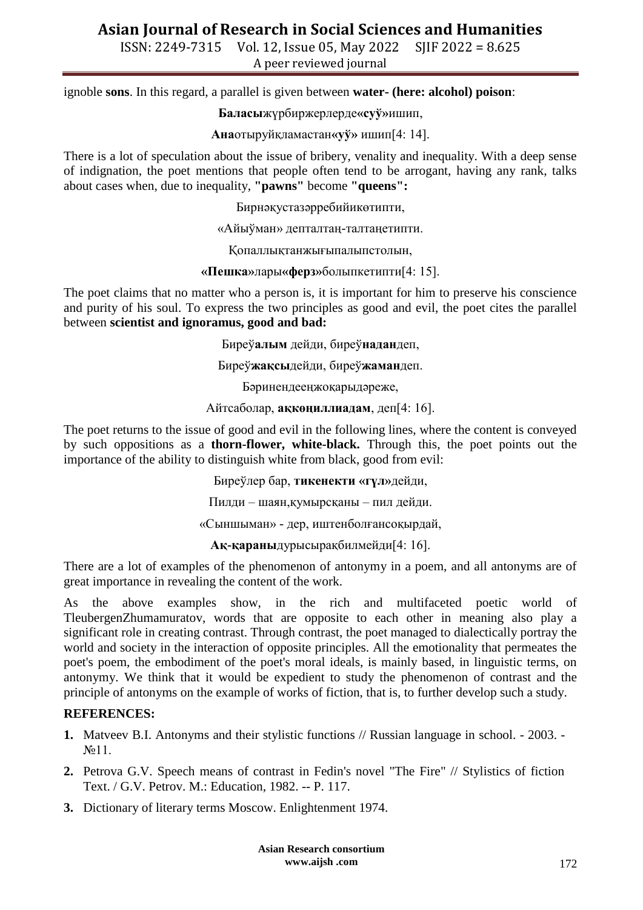ISSN: 2249-7315 Vol. 12, Issue 05, May 2022 SJIF 2022 = 8.625 A peer reviewed journal

ignoble **sons**. In this regard, a parallel is given between **water- (here: alcohol) poison**:

**Баласы**жүрбиржерлерде**«суў»**ишип,

**Ана**отыруйқламастан**«уў»** ишип[4: 14].

There is a lot of speculation about the issue of bribery, venality and inequality. With a deep sense of indignation, the poet mentions that people often tend to be arrogant, having any rank, talks about cases when, due to inequality, **"pawns"** become **"queens":**

Бирнəқустазəрребийикөтипти,

«Айыўман» депталтаң-талтаңетипти.

Қопаллықтанжығыпалыпстолын,

**«Пешка»**лары**«ферз»**болыпкетипти[4: 15].

The poet claims that no matter who a person is, it is important for him to preserve his conscience and purity of his soul. To express the two principles as good and evil, the poet cites the parallel between **scientist and ignoramus, good and bad:**

Биреў**алым** дейди, биреў**надан**деп,

Биреў**жақсы**дейди, биреў**жаман**деп.

Бəринендееңжоқарыдəреже,

Айтсаболар, **ақкөңиллиадам**, деп[4: 16].

The poet returns to the issue of good and evil in the following lines, where the content is conveyed by such oppositions as a **thorn-flower, white-black.** Through this, the poet points out the importance of the ability to distinguish white from black, good from evil:

Биреўлер бар, **тикенекти «гүл»**дейди,

Пилди – шаян,қумырсқаны – пил дейди.

«Сыншыман» - дер, иштенболғансоқырдай,

**Ақ-қараны**дурысырақбилмейди[4: 16].

There are a lot of examples of the phenomenon of antonymy in a poem, and all antonyms are of great importance in revealing the content of the work.

As the above examples show, in the rich and multifaceted poetic world of TleubergenZhumamuratov, words that are opposite to each other in meaning also play a significant role in creating contrast. Through contrast, the poet managed to dialectically portray the world and society in the interaction of opposite principles. All the emotionality that permeates the poet's poem, the embodiment of the poet's moral ideals, is mainly based, in linguistic terms, on antonymy. We think that it would be expedient to study the phenomenon of contrast and the principle of antonyms on the example of works of fiction, that is, to further develop such a study.

#### **REFERENCES:**

- **1.** Matveev B.I. Antonyms and their stylistic functions // Russian language in school. 2003. №11.
- **2.** Petrova G.V. Speech means of contrast in Fedin's novel "The Fire" // Stylistics of fiction Text. / G.V. Petrov. M.: Education, 1982. -- P. 117.
- **3.** Dictionary of literary terms Moscow. Enlightenment 1974.